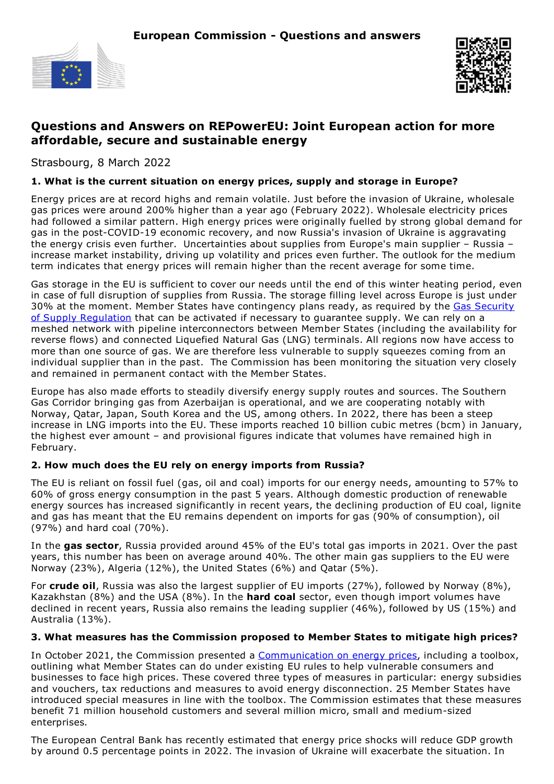



# **Questions and Answers on REPowerEU: Joint European action for more affordable, secure and sustainable energy**

Strasbourg, 8 March 2022

### **1. What is the current situation on energy prices, supply and storage in Europe?**

Energy prices are at record highs and remain volatile. Just before the invasion of Ukraine, wholesale gas prices were around 200% higher than a year ago (February 2022). Wholesale electricity prices had followed a similar pattern. High energy prices were originally fuelled by strong global demand for gas in the post-COVID-19 economic recovery, and now Russia's invasion of Ukraine is aggravating the energy crisis even further. Uncertainties about supplies from Europe's main supplier – Russia – increase market instability, driving up volatility and prices even further. The outlook for the medium term indicates that energy prices will remain higher than the recent average for some time.

Gas storage in the EU is sufficient to cover our needs until the end of this winter heating period, even in case of full disruption of supplies from Russia. The storage filling level across Europe is just under 30% at the moment. Member States have [contingency](https://eur-lex.europa.eu/legal-content/EN/TXT/?uri=uriserv:OJ.L_.2017.280.01.0001.01.ENG) plans ready, as required by the Gas Security of Supply Regulation that can be activated if necessary to guarantee supply. We can rely on a meshed network with pipeline interconnectors between Member States (including the availability for reverse flows) and connected Liquefied Natural Gas (LNG) terminals. All regions now have access to more than one source of gas. We are therefore less vulnerable to supply squeezes coming from an individual supplier than in the past. The Commission has been monitoring the situation very closely and remained in permanent contact with the Member States.

Europe has also made efforts to steadily diversify energy supply routes and sources. The Southern Gas Corridor bringing gas from Azerbaijan is operational, and we are cooperating notably with Norway, Qatar, Japan, South Korea and the US, among others. In 2022, there has been a steep increase in LNG imports into the EU. These imports reached 10 billion cubic metres (bcm) in January, the highest ever amount – and provisional figures indicate that volumes have remained high in February.

## **2. How much does the EU rely on energy imports from Russia?**

The EU is reliant on fossil fuel (gas, oil and coal) imports for our energy needs, amounting to 57% to 60% of gross energy consumption in the past 5 years. Although domestic production of renewable energy sources has increased significantly in recent years, the declining production of EU coal, lignite and gas has meant that the EU remains dependent on imports for gas (90% of consumption), oil (97%) and hard coal (70%).

In the **gas sector**, Russia provided around 45% of the EU's total gas imports in 2021. Over the past years, this number has been on average around 40%. The other main gas suppliers to the EU were Norway (23%), Algeria (12%), the United States (6%) and Qatar (5%).

For **crude oil**, Russia was also the largest supplier of EU imports (27%), followed by Norway (8%), Kazakhstan (8%) and the USA (8%). In the **hard coal** sector, even though import volumes have declined in recent years, Russia also remains the leading supplier (46%), followed by US (15%) and Australia (13%).

## **3. What measures has the Commission proposed to Member States to mitigate high prices?**

In October 2021, the Commission presented a [Communication](https://ec.europa.eu/commission/presscorner/detail/en/IP_21_5204) on energy prices, including a toolbox, outlining what Member States can do under existing EU rules to help vulnerable consumers and businesses to face high prices. These covered three types of measures in particular: energy subsidies and vouchers, tax reductions and measures to avoid energy disconnection. 25 Member States have introduced special measures in line with the toolbox. The Commission estimates that these measures benefit 71 million household customers and several million micro, small and medium-sized enterprises*.*

The European Central Bank has recently estimated that energy price shocks will reduce GDP growth by around 0.5 percentage points in 2022. The invasion of Ukraine will exacerbate the situation. In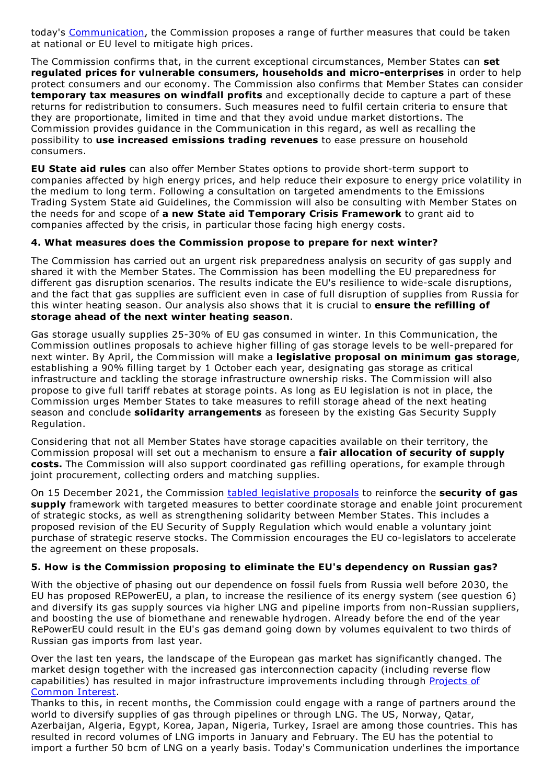today's [Communication](https://energy.ec.europa.eu/repowereu-joint-european-action-more-affordable-secure-and-sustainable-energy_en), the Commission proposes a range of further measures that could be taken at national or EU level to mitigate high prices.

The Commission confirms that, in the current exceptional circumstances, Member States can **set regulated prices for vulnerable consumers, households and micro-enterprises** in order to help protect consumers and our economy. The Commission also confirms that Member States can consider **temporary tax measures on windfall profits** and exceptionally decide to capture a part of these returns for redistribution to consumers. Such measures need to fulfil certain criteria to ensure that they are proportionate, limited in time and that they avoid undue market distortions. The Commission provides guidance in the Communication in this regard, as well as recalling the possibility to **use increased emissions trading revenues** to ease pressure on household consumers.

**EU State aid rules** can also offer Member States options to provide short-term support to companies affected by high energy prices, and help reduce their exposure to energy price volatility in the medium to long term. Following a consultation on targeted amendments to the Emissions Trading System State aid Guidelines, the Commission will also be consulting with Member States on the needs for and scope of **a new State aid Temporary Crisis Framework** to grant aid to companies affected by the crisis, in particular those facing high energy costs.

#### **4. What measures does the Commission propose to prepare for next winter?**

The Commission has carried out an urgent risk preparedness analysis on security of gas supply and shared it with the Member States. The Commission has been modelling the EU preparedness for different gas disruption scenarios. The results indicate the EU's resilience to wide-scale disruptions, and the fact that gas supplies are sufficient even in case of full disruption of supplies from Russia for this winter heating season. Our analysis also shows that it is crucial to **ensure the refilling of storage ahead of the next winter heating season**.

Gas storage usually supplies 25-30% of EU gas consumed in winter. In this Communication, the Commission outlines proposals to achieve higher filling of gas storage levels to be well-prepared for next winter. By April, the Commission will make a **legislative proposal on minimum gas storage**, establishing a 90% filling target by 1 October each year, designating gas storage as critical infrastructure and tackling the storage infrastructure ownership risks. The Commission will also propose to give full tariff rebates at storage points. As long as EU legislation is not in place, the Commission urges Member States to take measures to refill storage ahead of the next heating season and conclude **solidarity arrangements** as foreseen by the existing Gas Security Supply Regulation.

Considering that not all Member States have storage capacities available on their territory, the Commission proposal will set out a mechanism to ensure a **fair allocation of security of supply costs.** The Commission will also support coordinated gas refilling operations, for example through joint procurement, collecting orders and matching supplies.

On 15 December 2021, the Commission tabled [legislative](https://ec.europa.eu/commission/presscorner/detail/en/IP_21_6682) proposals to reinforce the **security of gas supply** framework with targeted measures to better coordinate storage and enable joint procurement of strategic stocks, as well as strengthening solidarity between Member States. This includes a proposed revision of the EU Security of Supply Regulation which would enable a voluntary joint purchase of strategic reserve stocks. The Commission encourages the EU co-legislators to accelerate the agreement on these proposals.

## **5. How is the Commission proposing to eliminate the EU's dependency on Russian gas?**

With the objective of phasing out our dependence on fossil fuels from Russia well before 2030, the EU has proposed REPowerEU, a plan, to increase the resilience of its energy system (see question 6) and diversify its gas supply sources via higher LNG and pipeline imports from non-Russian suppliers, and boosting the use of biomethane and renewable hydrogen. Already before the end of the year RePowerEU could result in the EU's gas demand going down by volumes equivalent to two thirds of Russian gas imports from last year.

Over the last ten years, the landscape of the European gas market has significantly changed. The market design together with the increased gas interconnection capacity (including reverse flow capabilities) has resulted in major infrastructure [improvements](https://energy.ec.europa.eu/topics/infrastructure/projects-common-interest/key-cross-border-infrastructure-projects_en) including through Projects of Common Interest.

Thanks to this, in recent months, the Commission could engage with a range of partners around the world to diversify supplies of gas through pipelines or through LNG. The US, Norway, Qatar, Azerbaijan, Algeria, Egypt, Korea, Japan, Nigeria, Turkey, Israel are among those countries. This has resulted in record volumes of LNG imports in January and February. The EU has the potential to import a further 50 bcm of LNG on a yearly basis. Today's Communication underlines the importance